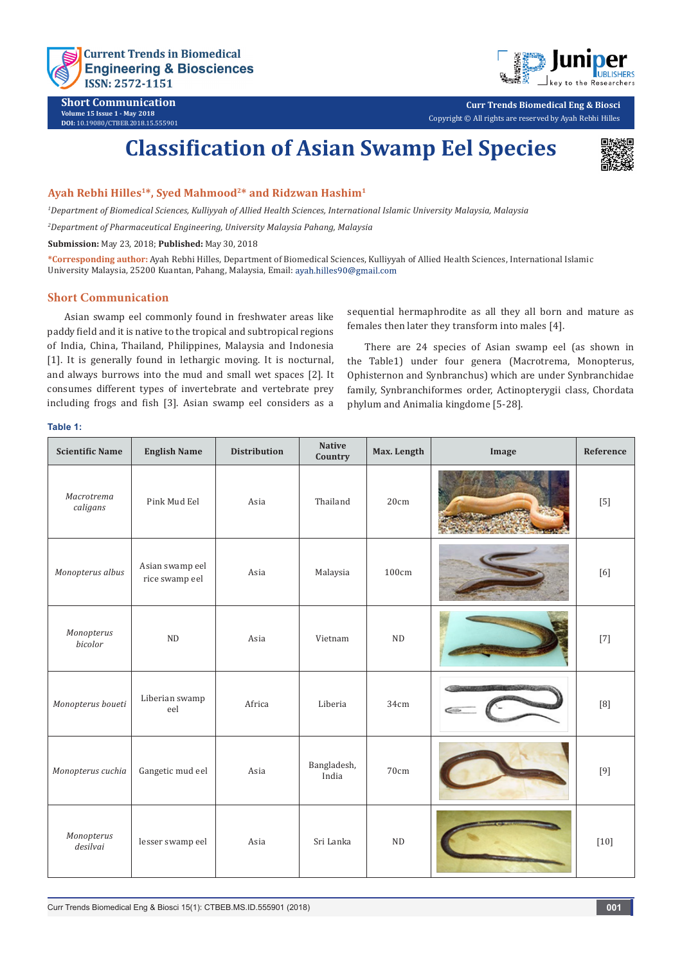

**Short Communication Volume 15 Issue 1 - May 2018 DOI:** [10.19080/CTBEB.2018.15.5559](http://dx.doi.org/10.19080/CTBEB.2018.15.555901)01



**Curr Trends Biomedical Eng & Biosci** Copyright © All rights are reserved by Ayah Rebhi Hilles

# **Classification of Asian Swamp Eel Species**



### **Ayah Rebhi Hilles1\*, Syed Mahmood2\* and Ridzwan Hashim<sup>1</sup>**

*1 Department of Biomedical Sciences, Kulliyyah of Allied Health Sciences, International Islamic University Malaysia, Malaysia*

*2 Department of Pharmaceutical Engineering, University Malaysia Pahang, Malaysia*

**Submission:** May 23, 2018; **Published:** May 30, 2018

**\*Corresponding author:** Ayah Rebhi Hilles, Department of Biomedical Sciences, Kulliyyah of Allied Health Sciences, International Islamic University Malaysia, 25200 Kuantan, Pahang, Malaysia, Email:

### **Short Communication**

Asian swamp eel commonly found in freshwater areas like paddy field and it is native to the tropical and subtropical regions of India, China, Thailand, Philippines, Malaysia and Indonesia [1]. It is generally found in lethargic moving. It is nocturnal, and always burrows into the mud and small wet spaces [2]. It consumes different types of invertebrate and vertebrate prey including frogs and fish [3]. Asian swamp eel considers as a sequential hermaphrodite as all they all born and mature as females then later they transform into males [4].

There are 24 species of Asian swamp eel (as shown in the Table1) under four genera (Macrotrema, Monopterus, Ophisternon and Synbranchus) which are under Synbranchidae family, Synbranchiformes order, Actinopterygii class, Chordata phylum and Animalia kingdome [5-28].

#### **Table 1:**

| <b>Scientific Name</b> | <b>English Name</b>               | <b>Distribution</b> | <b>Native</b><br>Country | Max. Length | Image  | Reference                                                                                                                                                                                                                                                                                                                                                                |
|------------------------|-----------------------------------|---------------------|--------------------------|-------------|--------|--------------------------------------------------------------------------------------------------------------------------------------------------------------------------------------------------------------------------------------------------------------------------------------------------------------------------------------------------------------------------|
| Macrotrema<br>caligans | Pink Mud Eel                      | Asia                | Thailand                 | 20cm        |        | $[5]$                                                                                                                                                                                                                                                                                                                                                                    |
| Monopterus albus       | Asian swamp eel<br>rice swamp eel | Asia                | Malaysia                 | 100cm       |        | $[6] \centering% \includegraphics[width=1.0\textwidth]{figs/fig_4.pdf} \caption{Schematic plot of the density $z$ for the $z$-axis. The solid lines represent the energy $\alpha$ values for the $z$-axis. The solid lines represent the energy $\alpha$ values for the $z$-axis. The solid lines represent the energy $\alpha$ values for the $z$-axis.} \label{fig:1}$ |
| Monopterus<br>bicolor  | ND                                | Asia                | Vietnam                  | ND          |        | $[7]$                                                                                                                                                                                                                                                                                                                                                                    |
| Monopterus boueti      | Liberian swamp<br>eel             | Africa              | Liberia                  | 34cm        | Cotata | $[8]$                                                                                                                                                                                                                                                                                                                                                                    |
| Monopterus cuchia      | Gangetic mud eel                  | Asia                | Bangladesh,<br>India     | 70cm        |        | $[9]$                                                                                                                                                                                                                                                                                                                                                                    |
| Monopterus<br>desilvai | lesser swamp eel                  | Asia                | Sri Lanka                | ND          |        | $[10]$                                                                                                                                                                                                                                                                                                                                                                   |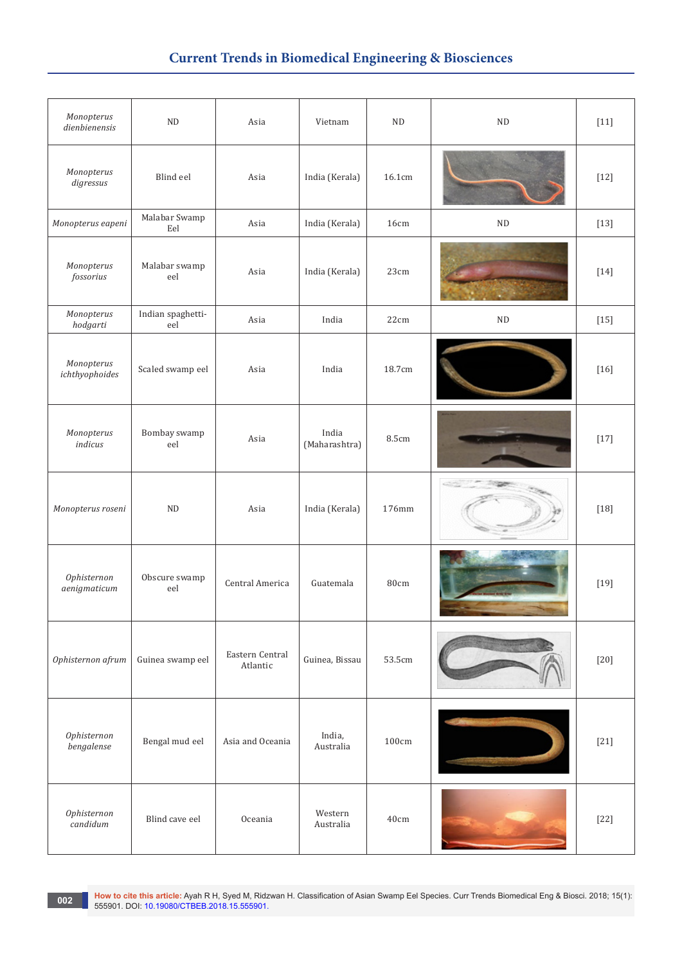## **Current Trends in Biomedical Engineering & Biosciences**

| Monopterus<br>dienbienensis  | $\rm ND$                 | Asia                        | Vietnam                | $\rm ND$     | $\rm ND$ | $[11]$ |
|------------------------------|--------------------------|-----------------------------|------------------------|--------------|----------|--------|
| Monopterus<br>digressus      | Blind eel                | Asia                        | India (Kerala)         | 16.1cm       |          | $[12]$ |
| Monopterus eapeni            | Malabar Swamp<br>Eel     | Asia                        | India (Kerala)         | 16cm         | $\rm ND$ | $[13]$ |
| Monopterus<br>fossorius      | Malabar swamp<br>eel     | Asia                        | India (Kerala)         | 23cm         |          | $[14]$ |
| Monopterus<br>hodgarti       | Indian spaghetti-<br>eel | Asia                        | India                  | 22cm         | $\rm ND$ | $[15]$ |
| Monopterus<br>ichthyophoides | Scaled swamp eel         | Asia                        | India                  | 18.7cm       |          | $[16]$ |
| Monopterus<br>indicus        | Bombay swamp<br>eel      | Asia                        | India<br>(Maharashtra) | <b>8.5cm</b> |          | $[17]$ |
| Monopterus roseni            | ND                       | Asia                        | India (Kerala)         | 176mm        |          | $[18]$ |
| Ophisternon<br>aenigmaticum  | Obscure swamp<br>eel     | Central America             | Guatemala              | 80cm         |          | $[19]$ |
| Ophisternon afrum            | Guinea swamp eel         | Eastern Central<br>Atlantic | Guinea, Bissau         | 53.5cm       |          | $[20]$ |
| Ophisternon<br>bengalense    | Bengal mud eel           | Asia and Oceania            | India,<br>Australia    | 100cm        |          | $[21]$ |
| Ophisternon<br>candidum      | Blind cave eel           | Oceania                     | Western<br>Australia   | 40cm         |          | $[22]$ |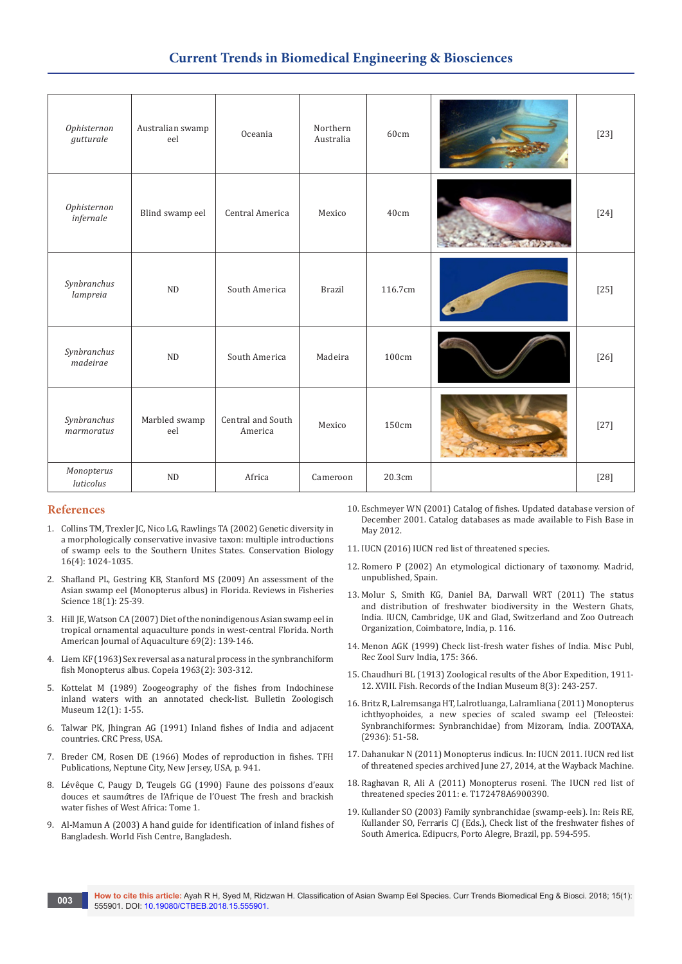### **Current Trends in Biomedical Engineering & Biosciences**

| Ophisternon<br>gutturale  | Australian swamp<br>eel | Oceania                      | Northern<br>Australia | 60cm    |         | $[23]$ |
|---------------------------|-------------------------|------------------------------|-----------------------|---------|---------|--------|
| Ophisternon<br>infernale  | Blind swamp eel         | Central America              | Mexico                | 40cm    |         | $[24]$ |
| Synbranchus<br>lampreia   | <b>ND</b>               | South America                | <b>Brazil</b>         | 116.7cm | $\cdot$ | $[25]$ |
| Synbranchus<br>madeirae   | <b>ND</b>               | South America                | Madeira               | 100cm   |         | $[26]$ |
| Synbranchus<br>marmoratus | Marbled swamp<br>eel    | Central and South<br>America | Mexico                | 150cm   |         | $[27]$ |
| Monopterus<br>luticolus   | ND                      | Africa                       | Cameroon              | 20.3cm  |         | $[28]$ |

### **References**

- 1. [Collins TM, Trexler JC, Nico LG, Rawlings TA \(2002\) Genetic diversity in](https://onlinelibrary.wiley.com/doi/abs/10.1046/j.1523-1739.2002.01182.x)  [a morphologically conservative invasive taxon: multiple introductions](https://onlinelibrary.wiley.com/doi/abs/10.1046/j.1523-1739.2002.01182.x)  [of swamp eels to the Southern Unites States. Conservation Biology](https://onlinelibrary.wiley.com/doi/abs/10.1046/j.1523-1739.2002.01182.x)  [16\(4\): 1024-1035.](https://onlinelibrary.wiley.com/doi/abs/10.1046/j.1523-1739.2002.01182.x)
- 2. [Shafland PL, Gestring KB, Stanford MS \(2009\) An assessment of the](https://www.tandfonline.com/doi/abs/10.1080/10641260903225542?journalCode=brfs20)  [Asian swamp eel \(Monopterus albus\) in Florida.](https://www.tandfonline.com/doi/abs/10.1080/10641260903225542?journalCode=brfs20) Reviews in Fisheries Science [18\(1\): 25-39.](https://www.tandfonline.com/doi/abs/10.1080/10641260903225542?journalCode=brfs20)
- 3. [Hill JE, Watson CA \(2007\) Diet of the nonindigenous Asian swamp eel in](https://www.tandfonline.com/doi/abs/10.1577/A05-070.1?src=recsys&journalCode=unaj20)  [tropical ornamental aquaculture ponds in west-central Florida.](https://www.tandfonline.com/doi/abs/10.1577/A05-070.1?src=recsys&journalCode=unaj20) North [American Journal of Aquaculture](https://www.tandfonline.com/doi/abs/10.1577/A05-070.1?src=recsys&journalCode=unaj20) 69(2): 139-146.
- 4. Liem KF (1963) Sex reversal as a natural process in the synbranchiform fish Monopterus albus. Copeia 1963(2): 303-312.
- 5. Kottelat M (1989) Zoogeography of the fishes from Indochinese inland waters with an annotated check-list. Bulletin Zoologisch Museum 12(1): 1-55.
- 6. Talwar PK, Jhingran AG (1991) Inland fishes of India and adjacent countries. CRC Press, USA.
- 7. Breder CM, Rosen DE (1966) Modes of reproduction in fishes. TFH Publications, Neptune City, New Jersey, USA, p. 941.
- 8. Lévêque C, Paugy D, Teugels GG (1990) Faune des poissons d'eaux douces et saum*â*tres de l'Afrique de l'Ouest The fresh and brackish water fishes of West Africa: Tome 1.
- 9. Al-Mamun A (2003) A hand guide for identification of inland fishes of Bangladesh. World Fish Centre, Bangladesh.
- 10. Eschmeyer WN (2001) Catalog of fishes. Updated database version of December 2001. Catalog databases as made available to Fish Base in May 2012.
- 11. IUCN (2016) IUCN red list of threatened species.
- 12. Romero P (2002) An etymological dictionary of taxonomy. Madrid, unpublished, Spain.
- 13. Molur S, Smith KG, Daniel BA, Darwall WRT (2011) The status and distribution of freshwater biodiversity in the Western Ghats, India. IUCN, Cambridge, UK and Glad, Switzerland and Zoo Outreach Organization, Coimbatore, India, p. 116.
- 14. Menon AGK (1999) Check list-fresh water fishes of India. Misc Publ, Rec Zool Surv India, 175: 366.
- 15. Chaudhuri BL (1913) Zoological results of the Abor Expedition, 1911- 12. XVIII. Fish. Records of the Indian Museum 8(3): 243-257.
- 16. Britz R, Lalremsanga HT, Lalrotluanga, Lalramliana (2011) Monopterus ichthyophoides, a new species of scaled swamp eel (Teleostei: Synbranchiformes: Synbranchidae) from Mizoram, India. ZOOTAXA, (2936): 51-58.
- 17. Dahanukar N (2011) Monopterus indicus. In: IUCN 2011. IUCN red list of threatened species archived June 27, 2014, at the Wayback Machine.
- 18. Raghavan R, Ali A (2011) Monopterus roseni. The IUCN red list of threatened species 2011: e. T172478A6900390.
- 19. Kullander SO (2003) Family synbranchidae (swamp-eels). In: Reis RE, Kullander SO, Ferraris CJ (Eds.), Check list of the freshwater fishes of South America. Edipucrs, Porto Alegre, Brazil, pp. 594-595.